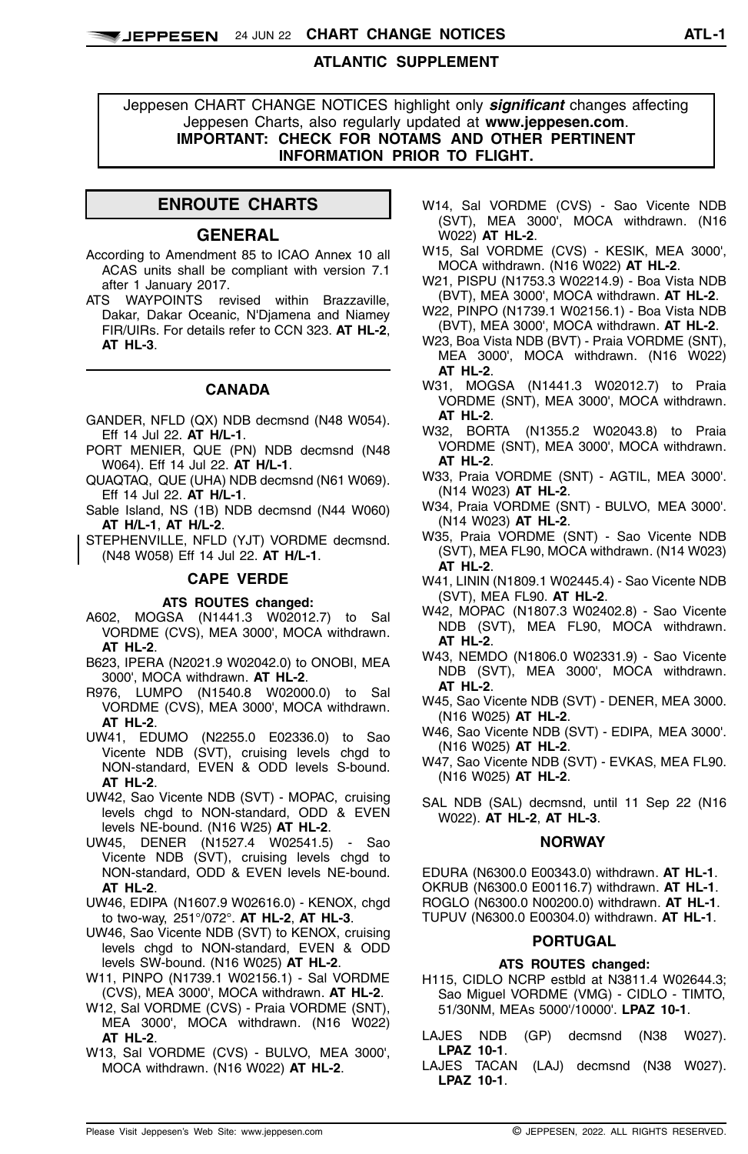## **ATLANTIC SUPPLEMENT**

Jeppesen CHART CHANGE NOTICES highlight only *significant* changes affecting Jeppesen Charts, also regularly updated at **www.jeppesen.com**. **IMPORTANT: CHECK FOR NOTAMS AND OTHER PERTINENT INFORMATION PRIOR TO FLIGHT.**

## **ENROUTE CHARTS**

### **GENERAL**

- According to Amendment 85 to ICAO Annex 10 all ACAS units shall be compliant with version 7.1 after 1 January 2017.
- ATS WAYPOINTS revised within Brazzaville, Dakar, Dakar Oceanic, N'Djamena and Niamey FIR/UIRs. For details refer to CCN 323. **AT HL-2**, **AT HL-3**.

# **CANADA**

- GANDER, NFLD (QX) NDB decmsnd (N48 W054). Eff 14 Jul 22. **AT H/L-1**.
- PORT MENIER, QUE (PN) NDB decmsnd (N48 W064). Eff 14 Jul 22. **AT H/L-1**.
- QUAQTAQ, QUE (UHA) NDB decmsnd (N61 W069). Eff 14 Jul 22. **AT H/L-1**.
- Sable Island, NS (1B) NDB decmsnd (N44 W060) **AT H/L-1**, **AT H/L-2**.
- STEPHENVILLE, NFLD (YJT) VORDME decmsnd. (N48 W058) Eff 14 Jul 22. **AT H/L-1**.

### **CAPE VERDE**

### **ATS ROUTES changed:**

- A602, MOGSA (N1441.3 W02012.7) to Sal VORDME (CVS), MEA 3000', MOCA withdrawn. **AT HL-2**.
- B623, IPERA (N2021.9 W02042.0) to ONOBI, MEA 3000', MOCA withdrawn. **AT HL-2**.
- R976, LUMPO (N1540.8 W02000.0) to Sal VORDME (CVS), MEA 3000', MOCA withdrawn. **AT HL-2**.
- UW41, EDUMO (N2255.0 E02336.0) to Sao Vicente NDB (SVT), cruising levels chgd to NON-standard, EVEN & ODD levels S-bound. **AT HL-2**.
- UW42, Sao Vicente NDB (SVT) MOPAC, cruising levels chgd to NON-standard, ODD & EVEN levels NE-bound. (N16 W25) **AT HL-2**.
- UW45, DENER (N1527.4 W02541.5) Sao Vicente NDB (SVT), cruising levels chgd to NON-standard, ODD & EVEN levels NE-bound. **AT HL-2**.
- UW46, EDIPA (N1607.9 W02616.0) KENOX, chgd to two-way, 251°/072°. **AT HL-2**, **AT HL-3**.
- UW46, Sao Vicente NDB (SVT) to KENOX, cruising levels chgd to NON-standard, EVEN & ODD levels SW-bound. (N16 W025) **AT HL-2**.
- W11, PINPO (N1739.1 W02156.1) Sal VORDME (CVS), MEA 3000', MOCA withdrawn. **AT HL-2**.
- W12, Sal VORDME (CVS) Praia VORDME (SNT), MEA 3000', MOCA withdrawn. (N16 W022) **AT HL-2**.
- W13, Sal VORDME (CVS) BULVO, MEA 3000', MOCA withdrawn. (N16 W022) **AT HL-2**.
- W14, Sal VORDME (CVS) Sao Vicente NDB (SVT), MEA 3000', MOCA withdrawn. (N16 W022) **AT HL-2**.
- W15, Sal VORDME (CVS) KESIK, MEA 3000', MOCA withdrawn. (N16 W022) **AT HL-2**.
- W21, PISPU (N1753.3 W02214.9) Boa Vista NDB (BVT), MEA 3000', MOCA withdrawn. **AT HL-2**.
- W22, PINPO (N1739.1 W02156.1) Boa Vista NDB (BVT), MEA 3000', MOCA withdrawn. **AT HL-2**.
- W23, Boa Vista NDB (BVT) Praia VORDME (SNT), MEA 3000', MOCA withdrawn. (N16 W022) **AT HL-2**.
- W31, MOGSA (N1441.3 W02012.7) to Praia VORDME (SNT), MEA 3000', MOCA withdrawn. **AT HL-2**.
- W32, BORTA (N1355.2 W02043.8) to Praia VORDME (SNT), MEA 3000', MOCA withdrawn. **AT HL-2**.
- W33, Praia VORDME (SNT) AGTIL, MEA 3000'. (N14 W023) **AT HL-2**.
- W34, Praia VORDME (SNT) BULVO, MEA 3000'. (N14 W023) **AT HL-2**.
- W35, Praia VORDME (SNT) Sao Vicente NDB (SVT), MEA FL90, MOCA withdrawn. (N14 W023) **AT HL-2**.
- W41, LININ (N1809.1 W02445.4) Sao Vicente NDB (SVT), MEA FL90. **AT HL-2**.
- W42, MOPAC (N1807.3 W02402.8) Sao Vicente NDB (SVT), MEA FL90, MOCA withdrawn. **AT HL-2**.
- W43, NEMDO (N1806.0 W02331.9) Sao Vicente NDB (SVT), MEA 3000', MOCA withdrawn. **AT HL-2**.
- W45, Sao Vicente NDB (SVT) DENER, MEA 3000. (N16 W025) **AT HL-2**.
- W46, Sao Vicente NDB (SVT) EDIPA, MEA 3000'. (N16 W025) **AT HL-2**.
- W47, Sao Vicente NDB (SVT) EVKAS, MEA FL90. (N16 W025) **AT HL-2**.
- SAL NDB (SAL) decmsnd, until 11 Sep 22 (N16 W022). **AT HL-2**, **AT HL-3**.

#### **NORWAY**

EDURA (N6300.0 E00343.0) withdrawn. **AT HL-1**. OKRUB (N6300.0 E00116.7) withdrawn. **AT HL-1**. ROGLO (N6300.0 N00200.0) withdrawn. **AT HL-1**. TUPUV (N6300.0 E00304.0) withdrawn. **AT HL-1**.

### **PORTUGAL**

#### **ATS ROUTES changed:**

- H115, CIDLO NCRP estbld at N3811.4 W02644.3; Sao Miguel VORDME (VMG) - CIDLO - TIMTO, 51/30NM, MEAs 5000'/10000'. **LPAZ 10-1**.
- LAJES NDB (GP) decmsnd (N38 W027). **LPAZ 10-1**.
- LAJES TACAN (LAJ) decmsnd (N38 W027). **LPAZ 10-1**.